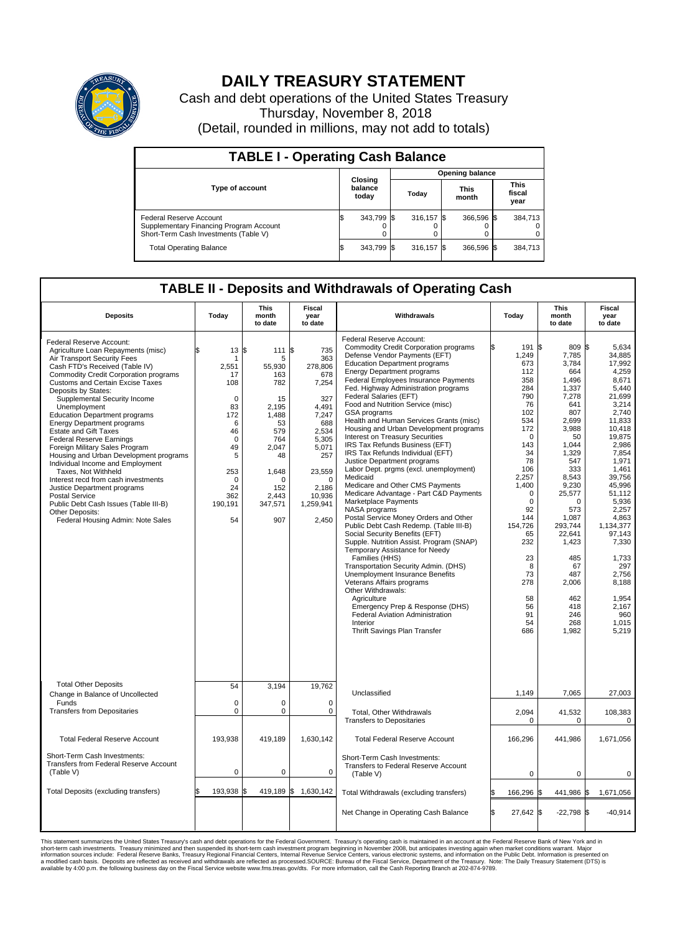

## **DAILY TREASURY STATEMENT**

Cash and debt operations of the United States Treasury Thursday, November 8, 2018 (Detail, rounded in millions, may not add to totals)

| <b>TABLE I - Operating Cash Balance</b>                                                                     |                             |            |                        |            |  |                      |                               |         |  |  |  |
|-------------------------------------------------------------------------------------------------------------|-----------------------------|------------|------------------------|------------|--|----------------------|-------------------------------|---------|--|--|--|
|                                                                                                             | Closing<br>balance<br>today |            | <b>Opening balance</b> |            |  |                      |                               |         |  |  |  |
| Type of account                                                                                             |                             |            | Today                  |            |  | <b>This</b><br>month | <b>This</b><br>fiscal<br>year |         |  |  |  |
| Federal Reserve Account<br>Supplementary Financing Program Account<br>Short-Term Cash Investments (Table V) |                             | 343,799 \$ |                        | 316,157 \$ |  | 366.596 \$           |                               | 384,713 |  |  |  |
| <b>Total Operating Balance</b>                                                                              | ß.                          | 343,799 \$ |                        | 316,157 \$ |  | 366,596 \$           |                               | 384,713 |  |  |  |

## **TABLE II - Deposits and Withdrawals of Operating Cash**

| <b>Deposits</b>                                                                                                                                                                                                                                                                                                                                                                                                                                                                                                                                                                                                                                                                                                                                                                   | Today                                                                                                                                                 | <b>This</b><br>month<br>to date                                                                                                                       | <b>Fiscal</b><br>year<br>to date                                                                                                                                          | Withdrawals                                                                                                                                                                                                                                                                                                                                                                                                                                                                                                                                                                                                                                                                                                                                                                                                                                                                                                                                                                                                                                                                                                                                                                                                                                        | Today                                                                                                                                                                                                                                                        | <b>This</b><br>month<br>to date                                                                                                                                                                                                                                                   | <b>Fiscal</b><br>year<br>to date                                                                                                                                                                                                                                                                                         |  |
|-----------------------------------------------------------------------------------------------------------------------------------------------------------------------------------------------------------------------------------------------------------------------------------------------------------------------------------------------------------------------------------------------------------------------------------------------------------------------------------------------------------------------------------------------------------------------------------------------------------------------------------------------------------------------------------------------------------------------------------------------------------------------------------|-------------------------------------------------------------------------------------------------------------------------------------------------------|-------------------------------------------------------------------------------------------------------------------------------------------------------|---------------------------------------------------------------------------------------------------------------------------------------------------------------------------|----------------------------------------------------------------------------------------------------------------------------------------------------------------------------------------------------------------------------------------------------------------------------------------------------------------------------------------------------------------------------------------------------------------------------------------------------------------------------------------------------------------------------------------------------------------------------------------------------------------------------------------------------------------------------------------------------------------------------------------------------------------------------------------------------------------------------------------------------------------------------------------------------------------------------------------------------------------------------------------------------------------------------------------------------------------------------------------------------------------------------------------------------------------------------------------------------------------------------------------------------|--------------------------------------------------------------------------------------------------------------------------------------------------------------------------------------------------------------------------------------------------------------|-----------------------------------------------------------------------------------------------------------------------------------------------------------------------------------------------------------------------------------------------------------------------------------|--------------------------------------------------------------------------------------------------------------------------------------------------------------------------------------------------------------------------------------------------------------------------------------------------------------------------|--|
| Federal Reserve Account:<br>Agriculture Loan Repayments (misc)<br>Air Transport Security Fees<br>Cash FTD's Received (Table IV)<br><b>Commodity Credit Corporation programs</b><br><b>Customs and Certain Excise Taxes</b><br>Deposits by States:<br>Supplemental Security Income<br>Unemployment<br><b>Education Department programs</b><br><b>Energy Department programs</b><br><b>Estate and Gift Taxes</b><br><b>Federal Reserve Earnings</b><br>Foreign Military Sales Program<br>Housing and Urban Development programs<br>Individual Income and Employment<br>Taxes. Not Withheld<br>Interest recd from cash investments<br>Justice Department programs<br>Postal Service<br>Public Debt Cash Issues (Table III-B)<br>Other Deposits:<br>Federal Housing Admin: Note Sales | 13<br>ፍ<br>-1<br>2,551<br>17<br>108<br>$\Omega$<br>83<br>172<br>6<br>46<br>$\mathbf 0$<br>49<br>5<br>253<br>$\mathbf 0$<br>24<br>362<br>190,191<br>54 | 1\$<br>111 \$<br>5<br>55.930<br>163<br>782<br>15<br>2,195<br>1,488<br>53<br>579<br>764<br>2,047<br>48<br>1,648<br>n<br>152<br>2,443<br>347,571<br>907 | 735<br>363<br>278.806<br>678<br>7,254<br>327<br>4,491<br>7,247<br>688<br>2,534<br>5,305<br>5,071<br>257<br>23,559<br>$\mathbf 0$<br>2,186<br>10,936<br>1,259,941<br>2,450 | Federal Reserve Account:<br><b>Commodity Credit Corporation programs</b><br>Defense Vendor Payments (EFT)<br><b>Education Department programs</b><br><b>Energy Department programs</b><br>Federal Employees Insurance Payments<br>Fed. Highway Administration programs<br>Federal Salaries (EFT)<br>Food and Nutrition Service (misc)<br>GSA programs<br>Health and Human Services Grants (misc)<br>Housing and Urban Development programs<br>Interest on Treasury Securities<br>IRS Tax Refunds Business (EFT)<br>IRS Tax Refunds Individual (EFT)<br>Justice Department programs<br>Labor Dept. prgms (excl. unemployment)<br>Medicaid<br>Medicare and Other CMS Payments<br>Medicare Advantage - Part C&D Payments<br>Marketplace Payments<br>NASA programs<br>Postal Service Money Orders and Other<br>Public Debt Cash Redemp. (Table III-B)<br>Social Security Benefits (EFT)<br>Supple. Nutrition Assist. Program (SNAP)<br>Temporary Assistance for Needy<br>Families (HHS)<br>Transportation Security Admin. (DHS)<br>Unemployment Insurance Benefits<br>Veterans Affairs programs<br>Other Withdrawals:<br>Agriculture<br>Emergency Prep & Response (DHS)<br>Federal Aviation Administration<br>Interior<br>Thrift Savings Plan Transfer | 191 \$<br>1,249<br>673<br>112<br>358<br>284<br>790<br>76<br>102<br>534<br>172<br>$\Omega$<br>143<br>34<br>78<br>106<br>2,257<br>1,400<br>$\Omega$<br>$\mathbf 0$<br>92<br>144<br>154,726<br>65<br>232<br>23<br>8<br>73<br>278<br>58<br>56<br>91<br>54<br>686 | 809 \$<br>7,785<br>3,784<br>664<br>1.496<br>1,337<br>7,278<br>641<br>807<br>2,699<br>3.988<br>50<br>1,044<br>1,329<br>547<br>333<br>8,543<br>9,230<br>25,577<br>0<br>573<br>1,087<br>293,744<br>22,641<br>1,423<br>485<br>67<br>487<br>2,006<br>462<br>418<br>246<br>268<br>1,982 | 5,634<br>34,885<br>17,992<br>4.259<br>8.671<br>5,440<br>21,699<br>3,214<br>2,740<br>11,833<br>10.418<br>19,875<br>2.986<br>7,854<br>1,971<br>1,461<br>39,756<br>45,996<br>51,112<br>5,936<br>2,257<br>4.863<br>1,134,377<br>97,143<br>7,330<br>1,733<br>297<br>2.756<br>8,188<br>1,954<br>2,167<br>960<br>1,015<br>5.219 |  |
| <b>Total Other Deposits</b><br>Change in Balance of Uncollected                                                                                                                                                                                                                                                                                                                                                                                                                                                                                                                                                                                                                                                                                                                   | 54                                                                                                                                                    | 3.194                                                                                                                                                 | 19.762                                                                                                                                                                    | Unclassified                                                                                                                                                                                                                                                                                                                                                                                                                                                                                                                                                                                                                                                                                                                                                                                                                                                                                                                                                                                                                                                                                                                                                                                                                                       | 1,149                                                                                                                                                                                                                                                        | 7,065                                                                                                                                                                                                                                                                             | 27,003                                                                                                                                                                                                                                                                                                                   |  |
| Funds<br><b>Transfers from Depositaries</b>                                                                                                                                                                                                                                                                                                                                                                                                                                                                                                                                                                                                                                                                                                                                       | $\mathbf 0$<br>$\mathbf 0$                                                                                                                            | 0<br>0                                                                                                                                                | 0<br>$\mathbf 0$                                                                                                                                                          | Total, Other Withdrawals                                                                                                                                                                                                                                                                                                                                                                                                                                                                                                                                                                                                                                                                                                                                                                                                                                                                                                                                                                                                                                                                                                                                                                                                                           | 2,094                                                                                                                                                                                                                                                        | 41,532                                                                                                                                                                                                                                                                            | 108,383                                                                                                                                                                                                                                                                                                                  |  |
| <b>Total Federal Reserve Account</b>                                                                                                                                                                                                                                                                                                                                                                                                                                                                                                                                                                                                                                                                                                                                              | 193,938                                                                                                                                               | 419,189                                                                                                                                               | 1,630,142                                                                                                                                                                 | <b>Transfers to Depositaries</b><br><b>Total Federal Reserve Account</b>                                                                                                                                                                                                                                                                                                                                                                                                                                                                                                                                                                                                                                                                                                                                                                                                                                                                                                                                                                                                                                                                                                                                                                           | 0<br>166,296                                                                                                                                                                                                                                                 | 0<br>441,986                                                                                                                                                                                                                                                                      | 0<br>1,671,056                                                                                                                                                                                                                                                                                                           |  |
| Short-Term Cash Investments:<br>Transfers from Federal Reserve Account<br>(Table V)                                                                                                                                                                                                                                                                                                                                                                                                                                                                                                                                                                                                                                                                                               | $\pmb{0}$                                                                                                                                             | 0                                                                                                                                                     | 0                                                                                                                                                                         | Short-Term Cash Investments:<br>Transfers to Federal Reserve Account<br>(Table V)                                                                                                                                                                                                                                                                                                                                                                                                                                                                                                                                                                                                                                                                                                                                                                                                                                                                                                                                                                                                                                                                                                                                                                  | $\mathbf 0$                                                                                                                                                                                                                                                  | $\mathbf 0$                                                                                                                                                                                                                                                                       | 0                                                                                                                                                                                                                                                                                                                        |  |
| Total Deposits (excluding transfers)                                                                                                                                                                                                                                                                                                                                                                                                                                                                                                                                                                                                                                                                                                                                              | 193,938<br>\$                                                                                                                                         | ß.                                                                                                                                                    | 419,189 \$ 1,630,142                                                                                                                                                      | Total Withdrawals (excluding transfers)                                                                                                                                                                                                                                                                                                                                                                                                                                                                                                                                                                                                                                                                                                                                                                                                                                                                                                                                                                                                                                                                                                                                                                                                            | 166,296 \$                                                                                                                                                                                                                                                   | 441,986 \$                                                                                                                                                                                                                                                                        | 1,671,056                                                                                                                                                                                                                                                                                                                |  |
|                                                                                                                                                                                                                                                                                                                                                                                                                                                                                                                                                                                                                                                                                                                                                                                   |                                                                                                                                                       |                                                                                                                                                       |                                                                                                                                                                           | Net Change in Operating Cash Balance                                                                                                                                                                                                                                                                                                                                                                                                                                                                                                                                                                                                                                                                                                                                                                                                                                                                                                                                                                                                                                                                                                                                                                                                               | Ŝ.<br>27.642 \$                                                                                                                                                                                                                                              | $-22,798$ \$                                                                                                                                                                                                                                                                      | $-40.914$                                                                                                                                                                                                                                                                                                                |  |

This statement summarizes the United States Treasury's cash and debt operations for the Federal Government. Treasury soperating in November 2008, but anticiarded in a cocount at the Federal Reserve Bank of New York and in<br>